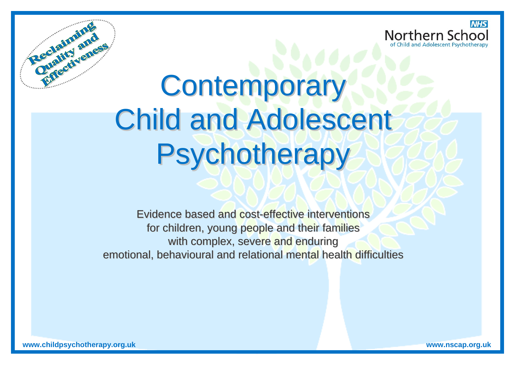



# **Contemporary** Child and Adolescent **Psychotherapy**

Evidence based and cost-effective interventions for children, young people and their families with complex, severe and enduring emotional, behavioural and relational mental health difficulties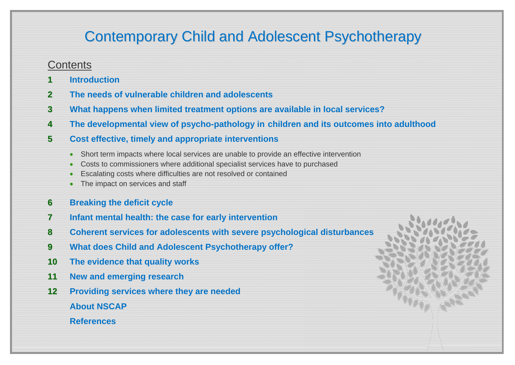# Contemporary Child and Adolescent Psychotherapy

## **Contents**

- **1Introduction**
- **2The needs of vulnerable children and adolescents**
- **3 What happens when limited treatment options are available in local services?**
- **4 The developmental view of psycho-pathology in children and its outcomes into adulthood**
- **5 Cost effective, timely and appropriate interventions**
	- Short term impacts where local services are unable to provide an effective intervention
	- $\bullet$ Costs to commissioners where additional specialist services have to purchased
	- Ō Escalating costs where difficulties are not resolved or contained
	- The impact on services and staff
- **6Breaking the deficit cycle**
- **7Infant mental health: the case for early intervention**
- **8Coherent services for adolescents with severe psychological disturbances**
- **9 What does Child and Adolescent Psychotherapy offer?**
- **10 The evidence that quality works**
- **11 New and emerging research**
- **12 Providing services where they are needed About NSCAP**

 **References**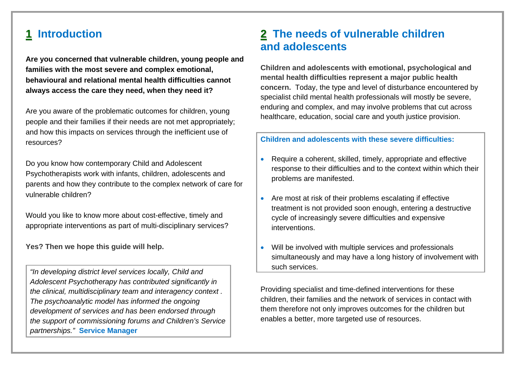## **1 Introduction**

**Are you concerned that vulnerable children, young people and families with the most severe and complex emotional, behavioural and relational mental health difficulties cannot always access the care they need, when they need it?**

Are you aware of the problematic outcomes for children, young people and their families if their needs are not met appropriately; and how this impacts on services through the inefficient use of resources?

Do you know how contemporary Child and Adolescent Psychotherapists work with infants, children, adolescents and parents and how they contribute to the complex network of care for vulnerable children?

Would you like to know more about cost-effective, timely and appropriate interventions as part of multi-disciplinary services?

**Yes? Then we hope this guide will help.** 

*"In developing district level services locally, Child and Adolescent Psychotherapy has contributed significantly in the clinical, multidisciplinary team and interagency context . The psychoanalytic model has informed the ongoing development of services and has been endorsed through the support of commissioning forums and Children's Service partnerships."* **Service Manager**

## **2 The needs of vulnerable children and adolescents**

**Children and adolescents with emotional, psychological and mental health difficulties represent a major public health concern.** Today, the type and level of disturbance encountered by specialist child mental health professionals will mostly be severe, enduring and complex, and may involve problems that cut across healthcare, education, social care and youth justice provision.

#### **Children and adolescents with these severe difficulties:**

- Require a coherent, skilled, timely, appropriate and effective response to their difficulties and to the context within which their problems are manifested.
- Are most at risk of their problems escalating if effective treatment is not provided soon enough, entering a destructive cycle of increasingly severe difficulties and expensive interventions.
- 0 Will be involved with multiple services and professionals simultaneously and may have a long history of involvement with such services.

Providing specialist and time-defined interventions for these children, their families and the network of services in contact with them therefore not only improves outcomes for the children but enables a better, more targeted use of resources.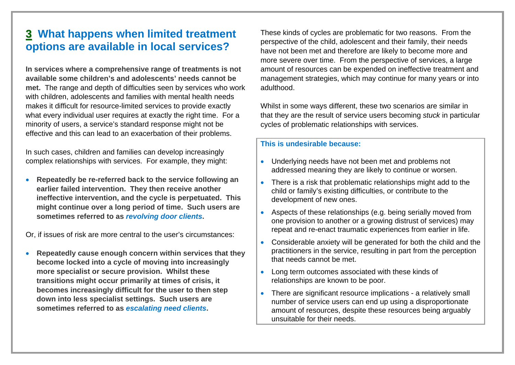# **3 What happens when limited treatment options are available in local services?**

**In services where a comprehensive range of treatments is not available some children's and adolescents' needs cannot be met.** The range and depth of difficulties seen by services who work with children, adolescents and families with mental health needs makes it difficult for resource-limited services to provide exactly what every individual user requires at exactly the right time. For a minority of users, a service's standard response might not be effective and this can lead to an exacerbation of their problems.

In such cases, children and families can develop increasingly complex relationships with services. For example, they might:

 $\bullet$  **Repeatedly be re-referred back to the service following an earlier failed intervention. They then receive another ineffective intervention, and the cycle is perpetuated. This might continue over a long period of time. Such users are sometimes referred to as** *revolving door clients***.** 

Or, if issues of risk are more central to the user's circumstances:

 $\bullet$  **Repeatedly cause enough concern within services that they become locked into a cycle of moving into increasingly more specialist or secure provision. Whilst these transitions might occur primarily at times of crisis, it becomes increasingly difficult for the user to then step down into less specialist settings. Such users are sometimes referred to as** *escalating need clients***.** 

These kinds of cycles are problematic for two reasons. From the perspective of the child, adolescent and their family, their needs have not been met and therefore are likely to become more and more severe over time. From the perspective of services, a large amount of resources can be expended on ineffective treatment and management strategies, which may continue for many years or into adulthood.

Whilst in some ways different, these two scenarios are similar in that they are the result of service users becoming *stuck* in particular cycles of problematic relationships with services.

#### **This is undesirable because:**

- Underlying needs have not been met and problems not addressed meaning they are likely to continue or worsen.
- There is a risk that problematic relationships might add to the child or family's existing difficulties, or contribute to the development of new ones.
- 0 Aspects of these relationships (e.g. being serially moved from one provision to another or a growing distrust of services) may repeat and re-enact traumatic experiences from earlier in life.
- $\bullet$  Considerable anxiety will be generated for both the child and the practitioners in the service, resulting in part from the perception that needs cannot be met.
- Long term outcomes associated with these kinds of relationships are known to be poor.
- There are significant resource implications a relatively small number of service users can end up using a disproportionate amount of resources, despite these resources being arguably unsuitable for their needs.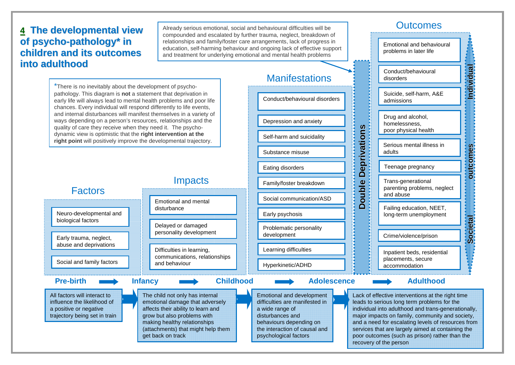## **4 T h e d e v elo p me n t al vie w of psycho-pathology\* in childrenand it soutcomesintoadulthood**

Already serious emotional, social and behavioural difficulties will be compounded and escalated by further trauma, neglect, breakdown of relationships and family/foster care arrangements, lack of progress in education, self-harming behaviour and ongoing lack of effective support and treatment for underlying emotional and mental health problems



## **Outcomes**

Emotional and behavioural problems in later life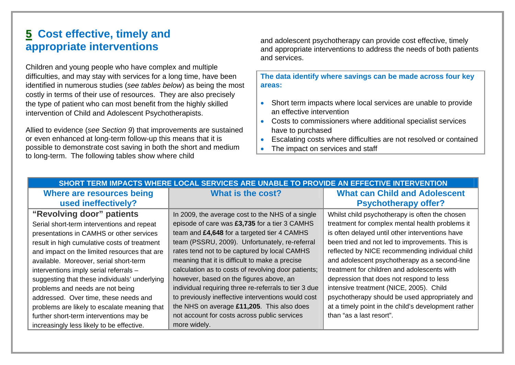# **5 Cost effective, timely and appropriate interventions**

Children and young people who have complex and multiple difficulties, and may stay with services for a long time, have been identified in numerous studies (*see tables below*) as being the most costly in terms of their use of resources. They are also precisely the type of patient who can most benefit from the highly skilled intervention of Child and Adolescent Psychotherapists.

Allied to evidence (*see Section 9*) that improvements are sustained or even enhanced at long-term follow-up this means that it is possible to demonstrate cost saving in both the short and medium to long-term. The following tables show where child

and adolescent psychotherapy can provide cost effective, timely and appropriate interventions to address the needs of both patients and services.

**The data identify where savings can be made across four key areas:** 

- Short term impacts where local services are unable to provide an effective intervention
- Costs to commissioners where additional specialist services have to purchased
- $\bullet$ Escalating costs where difficulties are not resolved or contained
- $\bullet$ The impact on services and staff

| SHORT TERM IMPACTS WHERE LOCAL SERVICES ARE UNABLE TO PROVIDE AN EFFECTIVE INTERVENTION |                                                       |                                                     |  |  |
|-----------------------------------------------------------------------------------------|-------------------------------------------------------|-----------------------------------------------------|--|--|
| Where are resources being                                                               | What is the cost?                                     | <b>What can Child and Adolescent</b>                |  |  |
| used ineffectively?                                                                     |                                                       | <b>Psychotherapy offer?</b>                         |  |  |
| "Revolving door" patients                                                               | In 2009, the average cost to the NHS of a single      | Whilst child psychotherapy is often the chosen      |  |  |
| Serial short-term interventions and repeat                                              | episode of care was £3,735 for a tier 3 CAMHS         | treatment for complex mental health problems it     |  |  |
| presentations in CAMHS or other services                                                | team and £4,648 for a targeted tier 4 CAMHS           | is often delayed until other interventions have     |  |  |
| result in high cumulative costs of treatment                                            | team (PSSRU, 2009). Unfortunately, re-referral        | been tried and not led to improvements. This is     |  |  |
| and impact on the limited resources that are                                            | rates tend not to be captured by local CAMHS          | reflected by NICE recommending individual child     |  |  |
| available. Moreover, serial short-term                                                  | meaning that it is difficult to make a precise        | and adolescent psychotherapy as a second-line       |  |  |
| interventions imply serial referrals -                                                  | calculation as to costs of revolving door patients;   | treatment for children and adolescents with         |  |  |
| suggesting that these individuals' underlying                                           | however, based on the figures above, an               | depression that does not respond to less            |  |  |
| problems and needs are not being                                                        | individual requiring three re-referrals to tier 3 due | intensive treatment (NICE, 2005). Child             |  |  |
| addressed. Over time, these needs and                                                   | to previously ineffective interventions would cost    | psychotherapy should be used appropriately and      |  |  |
| problems are likely to escalate meaning that                                            | the NHS on average £11,205. This also does            | at a timely point in the child's development rather |  |  |
| further short-term interventions may be                                                 | not account for costs across public services          | than "as a last resort".                            |  |  |
| increasingly less likely to be effective.                                               | more widely.                                          |                                                     |  |  |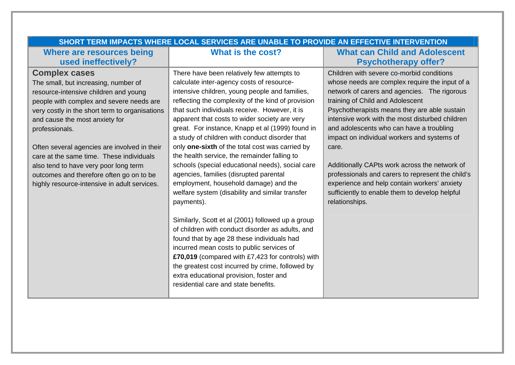| SHORT TERM IMPACTS WHERE LOCAL SERVICES ARE UNABLE TO PROVIDE AN EFFECTIVE INTERVENTION |                                                    |                                                   |  |  |
|-----------------------------------------------------------------------------------------|----------------------------------------------------|---------------------------------------------------|--|--|
| Where are resources being                                                               | What is the cost?                                  | <b>What can Child and Adolescent</b>              |  |  |
| used ineffectively?                                                                     |                                                    | <b>Psychotherapy offer?</b>                       |  |  |
| <b>Complex cases</b>                                                                    | There have been relatively few attempts to         | Children with severe co-morbid conditions         |  |  |
| The small, but increasing, number of                                                    | calculate inter-agency costs of resource-          | whose needs are complex require the input of a    |  |  |
| resource-intensive children and young                                                   | intensive children, young people and families,     | network of carers and agencies. The rigorous      |  |  |
| people with complex and severe needs are                                                | reflecting the complexity of the kind of provision | training of Child and Adolescent                  |  |  |
| very costly in the short term to organisations                                          | that such individuals receive. However, it is      | Psychotherapists means they are able sustain      |  |  |
| and cause the most anxiety for                                                          | apparent that costs to wider society are very      | intensive work with the most disturbed children   |  |  |
| professionals.                                                                          | great. For instance, Knapp et al (1999) found in   | and adolescents who can have a troubling          |  |  |
|                                                                                         | a study of children with conduct disorder that     | impact on individual workers and systems of       |  |  |
| Often several agencies are involved in their                                            | only one-sixth of the total cost was carried by    | care.                                             |  |  |
| care at the same time. These individuals                                                | the health service, the remainder falling to       |                                                   |  |  |
| also tend to have very poor long term                                                   | schools (special educational needs), social care   | Additionally CAPts work across the network of     |  |  |
| outcomes and therefore often go on to be                                                | agencies, families (disrupted parental             | professionals and carers to represent the child's |  |  |
| highly resource-intensive in adult services.                                            | employment, household damage) and the              | experience and help contain workers' anxiety      |  |  |
|                                                                                         | welfare system (disability and similar transfer    | sufficiently to enable them to develop helpful    |  |  |
|                                                                                         | payments).                                         | relationships.                                    |  |  |
|                                                                                         | Similarly, Scott et al (2001) followed up a group  |                                                   |  |  |
|                                                                                         | of children with conduct disorder as adults, and   |                                                   |  |  |
|                                                                                         | found that by age 28 these individuals had         |                                                   |  |  |
|                                                                                         | incurred mean costs to public services of          |                                                   |  |  |
|                                                                                         | £70,019 (compared with £7,423 for controls) with   |                                                   |  |  |
|                                                                                         | the greatest cost incurred by crime, followed by   |                                                   |  |  |
|                                                                                         | extra educational provision, foster and            |                                                   |  |  |
|                                                                                         | residential care and state benefits.               |                                                   |  |  |
|                                                                                         |                                                    |                                                   |  |  |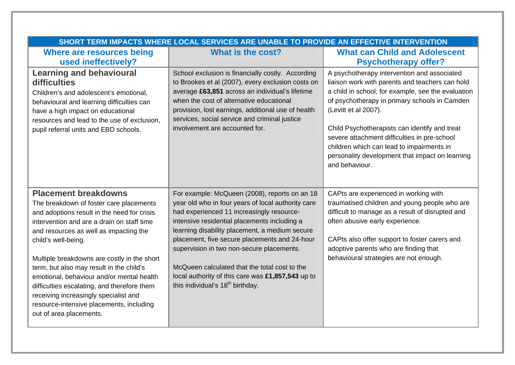| SHORT TERM IMPACTS WHERE LOCAL SERVICES ARE UNABLE TO PROVIDE AN EFFECTIVE INTERVENTION                                                                                                                                                                                                                                                                                                                                                                                                                                                     |                                                                                                                                                                                                                                                                                                                                                                                                                                                                                                        |                                                                                                                                                                                                                                                                                                                                                                                                                                                  |  |  |
|---------------------------------------------------------------------------------------------------------------------------------------------------------------------------------------------------------------------------------------------------------------------------------------------------------------------------------------------------------------------------------------------------------------------------------------------------------------------------------------------------------------------------------------------|--------------------------------------------------------------------------------------------------------------------------------------------------------------------------------------------------------------------------------------------------------------------------------------------------------------------------------------------------------------------------------------------------------------------------------------------------------------------------------------------------------|--------------------------------------------------------------------------------------------------------------------------------------------------------------------------------------------------------------------------------------------------------------------------------------------------------------------------------------------------------------------------------------------------------------------------------------------------|--|--|
| Where are resources being<br>used ineffectively?                                                                                                                                                                                                                                                                                                                                                                                                                                                                                            | What is the cost?                                                                                                                                                                                                                                                                                                                                                                                                                                                                                      | <b>What can Child and Adolescent</b><br><b>Psychotherapy offer?</b>                                                                                                                                                                                                                                                                                                                                                                              |  |  |
| <b>Learning and behavioural</b><br>difficulties<br>Children's and adolescent's emotional,<br>behavioural and learning difficulties can<br>have a high impact on educational<br>resources and lead to the use of exclusion,<br>pupil referral units and EBD schools.                                                                                                                                                                                                                                                                         | School exclusion is financially costly. According<br>to Brookes et al (2007), every exclusion costs on<br>average £63,851 across an individual's lifetime<br>when the cost of alternative educational<br>provision, lost earnings, additional use of health<br>services, social service and criminal justice<br>involvement are accounted for.                                                                                                                                                         | A psychotherapy intervention and associated<br>liaison work with parents and teachers can hold<br>a child in school; for example, see the evaluation<br>of psychotherapy in primary schools in Camden<br>(Levitt et al 2007).<br>Child Psychotherapists can identify and treat<br>severe attachment difficulties in pre-school<br>children which can lead to impairments in<br>personality development that impact on learning<br>and behaviour. |  |  |
| <b>Placement breakdowns</b><br>The breakdown of foster care placements<br>and adoptions result in the need for crisis<br>intervention and are a drain on staff time<br>and resources as well as impacting the<br>child's well-being.<br>Multiple breakdowns are costly in the short<br>term, but also may result in the child's<br>emotional, behaviour and/or mental health<br>difficulties escalating, and therefore them<br>receiving increasingly specialist and<br>resource-intensive placements, including<br>out of area placements. | For example: McQueen (2008), reports on an 18<br>year old who in four years of local authority care<br>had experienced 11 increasingly resource-<br>intensive residential placements including a<br>learning disability placement, a medium secure<br>placement, five secure placements and 24-hour<br>supervision in two non-secure placements.<br>McQueen calculated that the total cost to the<br>local authority of this care was £1,857,543 up to<br>this individual's 18 <sup>th</sup> birthday. | CAPts are experienced in working with<br>traumatised children and young people who are<br>difficult to manage as a result of disrupted and<br>often abusive early experience.<br>CAPts also offer support to foster carers and<br>adoptive parents who are finding that<br>behavioural strategies are not enough.                                                                                                                                |  |  |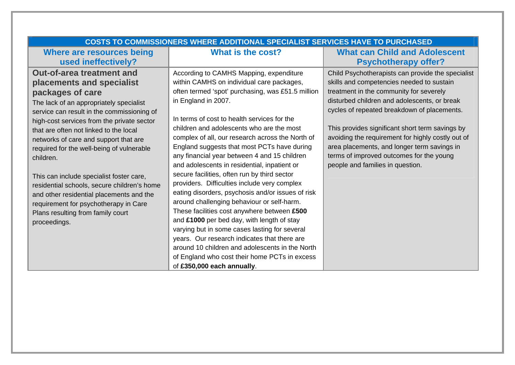| <b>COSTS TO COMMISSIONERS WHERE ADDITIONAL SPECIALIST SERVICES HAVE TO PURCHASED</b> |                                                   |                                                   |  |
|--------------------------------------------------------------------------------------|---------------------------------------------------|---------------------------------------------------|--|
| Where are resources being                                                            | What is the cost?                                 | <b>What can Child and Adolescent</b>              |  |
| used ineffectively?                                                                  |                                                   | <b>Psychotherapy offer?</b>                       |  |
| <b>Out-of-area treatment and</b>                                                     | According to CAMHS Mapping, expenditure           | Child Psychotherapists can provide the specialist |  |
| placements and specialist                                                            | within CAMHS on individual care packages,         | skills and competencies needed to sustain         |  |
| packages of care                                                                     | often termed 'spot' purchasing, was £51.5 million | treatment in the community for severely           |  |
| The lack of an appropriately specialist                                              | in England in 2007.                               | disturbed children and adolescents, or break      |  |
| service can result in the commissioning of                                           |                                                   | cycles of repeated breakdown of placements.       |  |
| high-cost services from the private sector                                           | In terms of cost to health services for the       |                                                   |  |
| that are often not linked to the local                                               | children and adolescents who are the most         | This provides significant short term savings by   |  |
| networks of care and support that are                                                | complex of all, our research across the North of  | avoiding the requirement for highly costly out of |  |
| required for the well-being of vulnerable                                            | England suggests that most PCTs have during       | area placements, and longer term savings in       |  |
| children.                                                                            | any financial year between 4 and 15 children      | terms of improved outcomes for the young          |  |
|                                                                                      | and adolescents in residential, inpatient or      | people and families in question.                  |  |
| This can include specialist foster care,                                             | secure facilities, often run by third sector      |                                                   |  |
| residential schools, secure children's home                                          | providers. Difficulties include very complex      |                                                   |  |
| and other residential placements and the                                             | eating disorders, psychosis and/or issues of risk |                                                   |  |
| requirement for psychotherapy in Care                                                | around challenging behaviour or self-harm.        |                                                   |  |
| Plans resulting from family court<br>proceedings.                                    | These facilities cost anywhere between £500       |                                                   |  |
|                                                                                      | and £1000 per bed day, with length of stay        |                                                   |  |
|                                                                                      | varying but in some cases lasting for several     |                                                   |  |
|                                                                                      | years. Our research indicates that there are      |                                                   |  |
|                                                                                      | around 10 children and adolescents in the North   |                                                   |  |
|                                                                                      | of England who cost their home PCTs in excess     |                                                   |  |
|                                                                                      | of £350,000 each annually.                        |                                                   |  |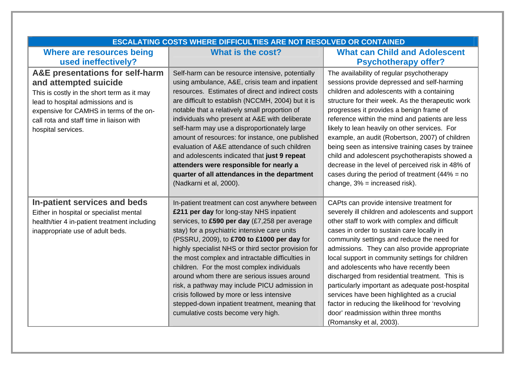| <b>ESCALATING COSTS WHERE DIFFICULTIES ARE NOT RESOLVED OR CONTAINED</b>                                                                                                                                                                                  |                                                                                                                                                                                                                                                                                                                                                                                                                                                                                                                                                                                                                                              |                                                                                                                                                                                                                                                                                                                                                                                                                                                                                                                                                                                                                                                                         |  |
|-----------------------------------------------------------------------------------------------------------------------------------------------------------------------------------------------------------------------------------------------------------|----------------------------------------------------------------------------------------------------------------------------------------------------------------------------------------------------------------------------------------------------------------------------------------------------------------------------------------------------------------------------------------------------------------------------------------------------------------------------------------------------------------------------------------------------------------------------------------------------------------------------------------------|-------------------------------------------------------------------------------------------------------------------------------------------------------------------------------------------------------------------------------------------------------------------------------------------------------------------------------------------------------------------------------------------------------------------------------------------------------------------------------------------------------------------------------------------------------------------------------------------------------------------------------------------------------------------------|--|
| Where are resources being                                                                                                                                                                                                                                 | What is the cost?                                                                                                                                                                                                                                                                                                                                                                                                                                                                                                                                                                                                                            | <b>What can Child and Adolescent</b>                                                                                                                                                                                                                                                                                                                                                                                                                                                                                                                                                                                                                                    |  |
| used ineffectively?                                                                                                                                                                                                                                       |                                                                                                                                                                                                                                                                                                                                                                                                                                                                                                                                                                                                                                              | <b>Psychotherapy offer?</b>                                                                                                                                                                                                                                                                                                                                                                                                                                                                                                                                                                                                                                             |  |
| A&E presentations for self-harm<br>and attempted suicide<br>This is costly in the short term as it may<br>lead to hospital admissions and is<br>expensive for CAMHS in terms of the on-<br>call rota and staff time in liaison with<br>hospital services. | Self-harm can be resource intensive, potentially<br>using ambulance, A&E, crisis team and inpatient<br>resources. Estimates of direct and indirect costs<br>are difficult to establish (NCCMH, 2004) but it is<br>notable that a relatively small proportion of<br>individuals who present at A&E with deliberate<br>self-harm may use a disproportionately large<br>amount of resources: for instance, one published<br>evaluation of A&E attendance of such children<br>and adolescents indicated that just 9 repeat<br>attenders were responsible for nearly a<br>quarter of all attendances in the department<br>(Nadkarni et al, 2000). | The availability of regular psychotherapy<br>sessions provide depressed and self-harming<br>children and adolescents with a containing<br>structure for their week. As the therapeutic work<br>progresses it provides a benign frame of<br>reference within the mind and patients are less<br>likely to lean heavily on other services. For<br>example, an audit (Robertson, 2007) of children<br>being seen as intensive training cases by trainee<br>child and adolescent psychotherapists showed a<br>decrease in the level of perceived risk in 48% of<br>cases during the period of treatment $(44\% = no$<br>change, $3\%$ = increased risk).                     |  |
| In-patient services and beds<br>Either in hospital or specialist mental<br>health/tier 4 in-patient treatment including<br>inappropriate use of adult beds.                                                                                               | In-patient treatment can cost anywhere between<br>£211 per day for long-stay NHS inpatient<br>services, to £590 per day (£7,258 per average<br>stay) for a psychiatric intensive care units<br>(PSSRU, 2009), to £700 to £1000 per day for<br>highly specialist NHS or third sector provision for<br>the most complex and intractable difficulties in<br>children. For the most complex individuals<br>around whom there are serious issues around<br>risk, a pathway may include PICU admission in<br>crisis followed by more or less intensive<br>stepped-down inpatient treatment, meaning that<br>cumulative costs become very high.     | CAPts can provide intensive treatment for<br>severely ill children and adolescents and support<br>other staff to work with complex and difficult<br>cases in order to sustain care locally in<br>community settings and reduce the need for<br>admissions. They can also provide appropriate<br>local support in community settings for children<br>and adolescents who have recently been<br>discharged from residential treatment. This is<br>particularly important as adequate post-hospital<br>services have been highlighted as a crucial<br>factor in reducing the likelihood for 'revolving<br>door' readmission within three months<br>(Romansky et al, 2003). |  |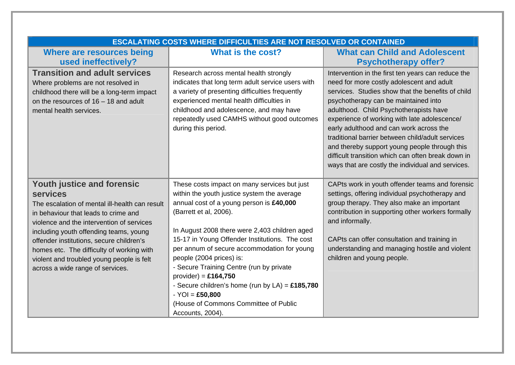| <b>ESCALATING COSTS WHERE DIFFICULTIES ARE NOT RESOLVED OR CONTAINED</b>                                                                                                                                                                                                                                                                                                                                        |                                                                                                                                                                                                                                                                                                                                                                                                                                                                                                                                                               |                                                                                                                                                                                                                                                                                                                                                                                                                                                                                                                                                   |  |
|-----------------------------------------------------------------------------------------------------------------------------------------------------------------------------------------------------------------------------------------------------------------------------------------------------------------------------------------------------------------------------------------------------------------|---------------------------------------------------------------------------------------------------------------------------------------------------------------------------------------------------------------------------------------------------------------------------------------------------------------------------------------------------------------------------------------------------------------------------------------------------------------------------------------------------------------------------------------------------------------|---------------------------------------------------------------------------------------------------------------------------------------------------------------------------------------------------------------------------------------------------------------------------------------------------------------------------------------------------------------------------------------------------------------------------------------------------------------------------------------------------------------------------------------------------|--|
| Where are resources being                                                                                                                                                                                                                                                                                                                                                                                       | What is the cost?                                                                                                                                                                                                                                                                                                                                                                                                                                                                                                                                             | <b>What can Child and Adolescent</b>                                                                                                                                                                                                                                                                                                                                                                                                                                                                                                              |  |
| used ineffectively?                                                                                                                                                                                                                                                                                                                                                                                             |                                                                                                                                                                                                                                                                                                                                                                                                                                                                                                                                                               | <b>Psychotherapy offer?</b>                                                                                                                                                                                                                                                                                                                                                                                                                                                                                                                       |  |
| <b>Transition and adult services</b><br>Where problems are not resolved in<br>childhood there will be a long-term impact<br>on the resources of $16 - 18$ and adult<br>mental health services.                                                                                                                                                                                                                  | Research across mental health strongly<br>indicates that long term adult service users with<br>a variety of presenting difficulties frequently<br>experienced mental health difficulties in<br>childhood and adolescence, and may have<br>repeatedly used CAMHS without good outcomes<br>during this period.                                                                                                                                                                                                                                                  | Intervention in the first ten years can reduce the<br>need for more costly adolescent and adult<br>services. Studies show that the benefits of child<br>psychotherapy can be maintained into<br>adulthood. Child Psychotherapists have<br>experience of working with late adolescence/<br>early adulthood and can work across the<br>traditional barrier between child/adult services<br>and thereby support young people through this<br>difficult transition which can often break down in<br>ways that are costly the individual and services. |  |
| <b>Youth justice and forensic</b><br><b>services</b><br>The escalation of mental ill-health can result<br>in behaviour that leads to crime and<br>violence and the intervention of services<br>including youth offending teams, young<br>offender institutions, secure children's<br>homes etc. The difficulty of working with<br>violent and troubled young people is felt<br>across a wide range of services. | These costs impact on many services but just<br>within the youth justice system the average<br>annual cost of a young person is £40,000<br>(Barrett et al, 2006).<br>In August 2008 there were 2,403 children aged<br>15-17 in Young Offender Institutions. The cost<br>per annum of secure accommodation for young<br>people (2004 prices) is:<br>- Secure Training Centre (run by private<br>$provider$ ) = £164,750<br>- Secure children's home (run by $LA$ ) = £185,780<br>$-YOI = £50,800$<br>(House of Commons Committee of Public<br>Accounts, 2004). | CAPts work in youth offender teams and forensic<br>settings, offering individual psychotherapy and<br>group therapy. They also make an important<br>contribution in supporting other workers formally<br>and informally.<br>CAPts can offer consultation and training in<br>understanding and managing hostile and violent<br>children and young people.                                                                                                                                                                                          |  |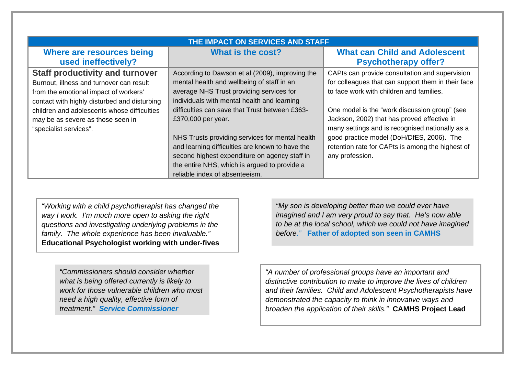| THE IMPACT ON SERVICES AND STAFF             |                                                 |                                                    |  |
|----------------------------------------------|-------------------------------------------------|----------------------------------------------------|--|
| Where are resources being                    | What is the cost?                               | <b>What can Child and Adolescent</b>               |  |
| used ineffectively?                          |                                                 | <b>Psychotherapy offer?</b>                        |  |
| <b>Staff productivity and turnover</b>       | According to Dawson et al (2009), improving the | CAPts can provide consultation and supervision     |  |
| Burnout, illness and turnover can result     | mental health and wellbeing of staff in an      | for colleagues that can support them in their face |  |
| from the emotional impact of workers'        | average NHS Trust providing services for        | to face work with children and families.           |  |
| contact with highly disturbed and disturbing | individuals with mental health and learning     |                                                    |  |
| children and adolescents whose difficulties  | difficulties can save that Trust between £363-  | One model is the "work discussion group" (see      |  |
| may be as severe as those seen in            | £370,000 per year.                              | Jackson, 2002) that has proved effective in        |  |
| "specialist services".                       |                                                 | many settings and is recognised nationally as a    |  |
|                                              | NHS Trusts providing services for mental health | good practice model (DoH/DfES, 2006). The          |  |
|                                              | and learning difficulties are known to have the | retention rate for CAPts is among the highest of   |  |
|                                              | second highest expenditure on agency staff in   | any profession.                                    |  |
|                                              | the entire NHS, which is argued to provide a    |                                                    |  |
|                                              | reliable index of absenteeism.                  |                                                    |  |

*"Working with a child psychotherapist has changed the way I work. I'm much more open to asking the right questions and investigating underlying problems in the family. The whole experience has been invaluable."* **Educational Psychologist working with under-fives** 

> *"Commissioners should consider whether what is being offered currently is likely to work for those vulnerable children who most need a high quality, effective form of treatment." Service Commissioner*

*"My son is developing better than we could ever have imagined and I am very proud to say that. He's now able to be at the local school, which we could not have imagined before."* **Father of adopted son seen in CAMHS** 

*"A number of professional groups have an important and distinctive contribution to make to improve the lives of children and their families. Child and Adolescent Psychotherapists have demonstrated the capacity to think in innovative ways and broaden the application of their skills."* **CAMHS Project Lead**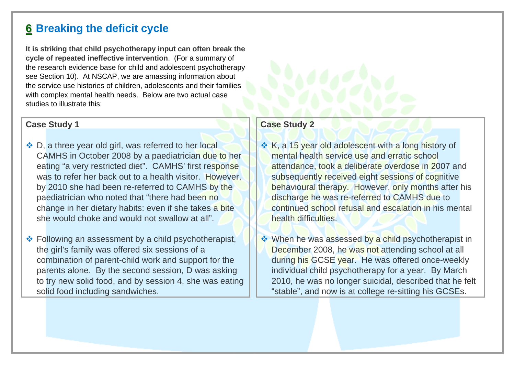# **6 Breaking the deficit cycle**

**It is striking that child psychotherapy input can often break the cycle of repeated ineffective intervention**. (For a summary of the research evidence base for child and adolescent psychotherapy see Section 10). At NSCAP, we are amassing information about the service use histories of children, adolescents and their families with complex mental health needs. Below are two actual case studies to illustrate this:

#### **Case Study 1**

- ❖ D, a three year old girl, was referred to her local CAMHS in October 2008 by a paediatrician due to her eating "a very restricted diet". CAMHS' first response was to refer her back out to a health visitor. However, by 2010 she had been re-referred to CAMHS by the paediatrician who noted that "there had been no change in her dietary habits: even if she takes a bite she would choke and would not swallow at all".
- Following an assessment by a child psychotherapist, the girl's family was offered six sessions of a combination of parent-child work and support for the parents alone. By the second session, D was asking to try new solid food, and by session 4, she was eating solid food including sandwiches.

#### **Case Study 2**

- **★ K, a 15 year old adolescent with a long history of** mental health service use and erratic school attendance, took a deliberate overdose in 2007 and subsequently received eight sessions of cognitive behavioural therapy. However, only months after his discharge he was re-referred to CAMHS due to continued school refusal and escalation in his mental health difficulties.
- **♦ When he was assessed by a child psychotherapist in** December 2008, he was not attending school at all during his GCSE year. He was offered once-weekly individual child psychotherapy for a year. By March 2010, he was no longer suicidal, described that he felt "stable", and now is at college re-sitting his GCSEs.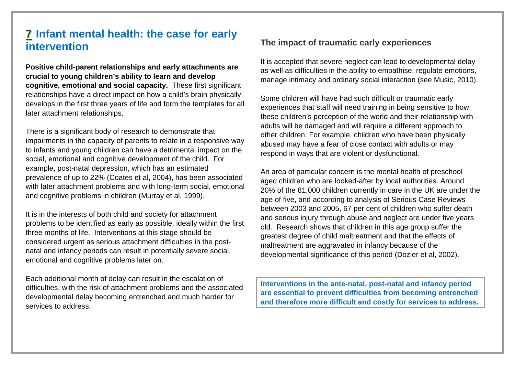## **7 Infant mental health: the case for early intervention**

**Positive child-parent relationships and early attachments are crucial to young children's ability to learn and develop cognitive, emotional and social capacity.** These first significant relationships have a direct impact on how a child's brain physically develops in the first three years of life and form the templates for all later attachment relationships.

There is a significant body of research to demonstrate that impairments in the capacity of parents to relate in a responsive way to infants and young children can have a detrimental impact on the social, emotional and cognitive development of the child. For example, post-natal depression, which has an estimated prevalence of up to 22% (Coates et al, 2004), has been associated with later attachment problems and with long-term social, emotional and cognitive problems in children (Murray et al, 1999).

It is in the interests of both child and society for attachment problems to be identified as early as possible, ideally within the first three months of life. Interventions at this stage should be considered urgent as serious attachment difficulties in the postnatal and infancy periods can result in potentially severe social, emotional and cognitive problems later on.

Each additional month of delay can result in the escalation of difficulties, with the risk of attachment problems and the associated developmental delay becoming entrenched and much harder for services to address.

## **The impact of traumatic early experiences**

It is accepted that severe neglect can lead to developmental delay as well as difficulties in the ability to empathise, regulate emotions, manage intimacy and ordinary social interaction (see Music, 2010).

Some children will have had such difficult or traumatic early experiences that staff will need training in being sensitive to how these children's perception of the world and their relationship with adults will be damaged and will require a different approach to other children. For example, children who have been physically abused may have a fear of close contact with adults or may respond in ways that are violent or dysfunctional.

An area of particular concern is the mental health of preschool aged children who are looked-after by local authorities. Around 20% of the 81,000 children currently in care in the UK are under the age of five, and according to analysis of Serious Case Reviews between 2003 and 2005, 67 per cent of children who suffer death and serious injury through abuse and neglect are under five years old. Research shows that children in this age group suffer the greatest degree of child maltreatment and that the effects of maltreatment are aggravated in infancy because of the developmental significance of this period (Dozier et al, 2002).

**Interventions in the ante-natal, post-natal and infancy period are essential to prevent difficulties from becoming entrenched and therefore more difficult and costly for services to address.**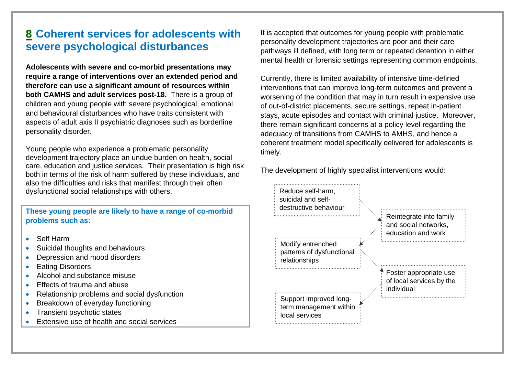# **8 Coherent services for adolescents with severe psychological disturbances**

**Adolescents with severe and co-morbid presentations may require a range of interventions over an extended period and therefore can use a significant amount of resources within both CAMHS and adult services post-18.** There is a group of children and young people with severe psychological, emotional and behavioural disturbances who have traits consistent with aspects of adult axis II psychiatric diagnoses such as borderline personality disorder.

Young people who experience a problematic personality development trajectory place an undue burden on health, social care, education and justice services. Their presentation is high risk both in terms of the risk of harm suffered by these individuals, and also the difficulties and risks that manifest through their often dysfunctional social relationships with others.

| These young people are likely to have a range of co-morbid |  |  |  |
|------------------------------------------------------------|--|--|--|
| problems such as:                                          |  |  |  |

- $\bullet$ Self Harm
- $\bullet$ Suicidal thoughts and behaviours
- $\bullet$ Depression and mood disorders
- $\bullet$ Eating Disorders
- $\bullet$ Alcohol and substance misuse
- $\bullet$ Effects of trauma and abuse
- $\bullet$ Relationship problems and social dysfunction
- $\bullet$ Breakdown of everyday functioning
- $\bullet$ Transient psychotic states
- $\bullet$ Extensive use of health and social services

It is accepted that outcomes for young people with problematic personality development trajectories are poor and their care pathways ill defined, with long term or repeated detention in either mental health or forensic settings representing common endpoints.

Currently, there is limited availability of intensive time-defined interventions that can improve long-term outcomes and prevent a worsening of the condition that may in turn result in expensive use of out-of-district placements, secure settings, repeat in-patient stays, acute episodes and contact with criminal justice. Moreover, there remain significant concerns at a policy level regarding the adequacy of transitions from CAMHS to AMHS, and hence a coherent treatment model specifically delivered for adolescents is timely.

The development of highly specialist interventions would:

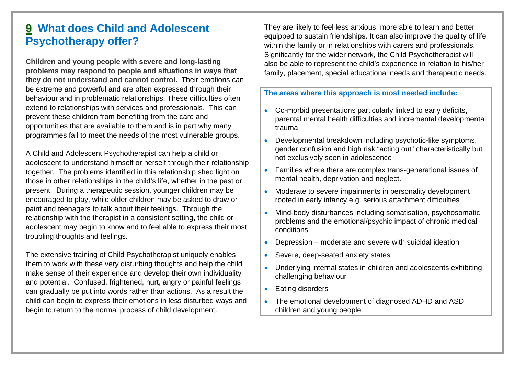# **9 What does Child and Adolescent Psychotherapy offer?**

**Children and young people with severe and long-lasting problems may respond to people and situations in ways that they do not understand and cannot control.** Their emotions can be extreme and powerful and are often expressed through their behaviour and in problematic relationships. These difficulties often extend to relationships with services and professionals. This can prevent these children from benefiting from the care and opportunities that are available to them and is in part why many programmes fail to meet the needs of the most vulnerable groups.

A Child and Adolescent Psychotherapist can help a child or adolescent to understand himself or herself through their relationship together. The problems identified in this relationship shed light on those in other relationships in the child's life, whether in the past or present. During a therapeutic session, younger children may be encouraged to play, while older children may be asked to draw or paint and teenagers to talk about their feelings. Through the relationship with the therapist in a consistent setting, the child or adolescent may begin to know and to feel able to express their most troubling thoughts and feelings.

The extensive training of Child Psychotherapist uniquely enables them to work with these very disturbing thoughts and help the child make sense of their experience and develop their own individuality and potential. Confused, frightened, hurt, angry or painful feelings can gradually be put into words rather than actions. As a result the child can begin to express their emotions in less disturbed ways and begin to return to the normal process of child development.

They are likely to feel less anxious, more able to learn and better equipped to sustain friendships. It can also improve the quality of life within the family or in relationships with carers and professionals. Significantly for the wider network, the Child Psychotherapist will also be able to represent the child's experience in relation to his/her family, placement, special educational needs and therapeutic needs.

**The areas where this approach is most needed include:** 

- $\bullet$  Co-morbid presentations particularly linked to early deficits, parental mental health difficulties and incremental developmental trauma
- $\bullet$  Developmental breakdown including psychotic-like symptoms, gender confusion and high risk "acting out" characteristically but not exclusively seen in adolescence
- $\bullet$  Families where there are complex trans-generational issues of mental health, deprivation and neglect.
- $\bullet$  Moderate to severe impairments in personality development rooted in early infancy e.g. serious attachment difficulties
- 0 Mind-body disturbances including somatisation, psychosomatic problems and the emotional/psychic impact of chronic medical conditions
- $\bullet$ Depression – moderate and severe with suicidal ideation
- $\bullet$ Severe, deep-seated anxiety states
- $\bullet$  Underlying internal states in children and adolescents exhibiting challenging behaviour
- $\bullet$ Eating disorders
- $\bullet$  The emotional development of diagnosed ADHD and ASD children and young people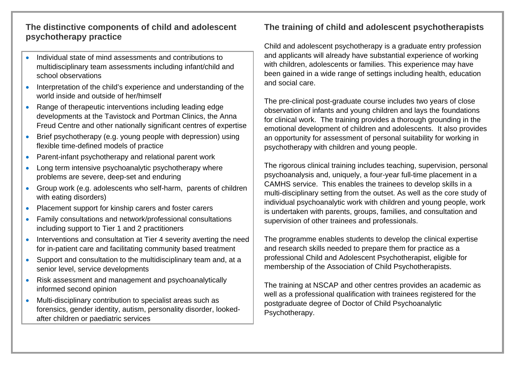## **The distinctive components of child and adolescent psychotherapy practice**

- 0 Individual state of mind assessments and contributions to multidisciplinary team assessments including infant/child and school observations
- Interpretation of the child's experience and understanding of the world inside and outside of her/himself
- Range of therapeutic interventions including leading edge developments at the Tavistock and Portman Clinics, the Anna Freud Centre and other nationally significant centres of expertise
- $\bullet$  Brief psychotherapy (e.g. young people with depression) using flexible time-defined models of practice
- $\bullet$ Parent-infant psychotherapy and relational parent work
- $\bullet$  Long term intensive psychoanalytic psychotherapy where problems are severe, deep-set and enduring
- Group work (e.g. adolescents who self-harm, parents of children with eating disorders)
- $\bullet$ Placement support for kinship carers and foster carers
- $\bullet$  Family consultations and network/professional consultations including support to Tier 1 and 2 practitioners
- $\bullet$  Interventions and consultation at Tier 4 severity averting the need for in-patient care and facilitating community based treatment
- $\bullet$  Support and consultation to the multidisciplinary team and, at a senior level, service developments
- Risk assessment and management and psychoanalytically informed second opinion
- $\bullet$  Multi-disciplinary contribution to specialist areas such as forensics, gender identity, autism, personality disorder, lookedafter children or paediatric services

## **The training of child and adolescent psychotherapists**

Child and adolescent psychotherapy is a graduate entry profession and applicants will already have substantial experience of working with children, adolescents or families. This experience may have been gained in a wide range of settings including health, education and social care.

The pre-clinical post-graduate course includes two years of close observation of infants and young children and lays the foundations for clinical work. The training provides a thorough grounding in the emotional development of children and adolescents. It also provides an opportunity for assessment of personal suitability for working in psychotherapy with children and young people.

The rigorous clinical training includes teaching, supervision, personal psychoanalysis and, uniquely, a four-year full-time placement in a CAMHS service. This enables the trainees to develop skills in a multi-disciplinary setting from the outset. As well as the core study of individual psychoanalytic work with children and young people, work is undertaken with parents, groups, families, and consultation and supervision of other trainees and professionals.

The programme enables students to develop the clinical expertise and research skills needed to prepare them for practice as a professional Child and Adolescent Psychotherapist, eligible for membership of the Association of Child Psychotherapists.

The training at NSCAP and other centres provides an academic as well as a professional qualification with trainees registered for the postgraduate degree of Doctor of Child Psychoanalytic Psychotherapy.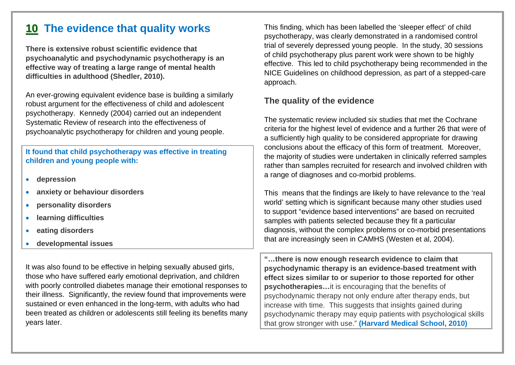# **1 0 The evidence that quality works**

**There is extensive robust scientific evidence that psychoanalytic and psychodynamic psychotherapy is an effective way of treating a large range of mental health difficulties in adulthood (Shedler, 2010).**

An ever-growing equivalent evidence base is building a similarly robust argument for the effectiveness of child and adolescent psychotherapy. Kennedy (2004) carried out an independent Systematic Review of research into the effectiveness of psychoanalytic psychotherapy for children and young people.

#### **It found that child psychotherapy was effective in treating children and young people with:**

- $\bullet$ **depression**
- 0 **anxiety or behaviour disorders**
- 0 **personality disorders**
- $\bullet$ **learning difficulties**
- 0 **eating disorders**
- 0 **developmental issues**

It was also found to be effective in helping sexually abused girls, those who have suffered early emotional deprivation, and children with poorly controlled diabetes manage their emotional responses to their illness. Significantly, the review found that improvements were sustained or even enhanced in the long-term, with adults who had been treated as children or adolescents still feeling its benefits many years later.

This finding, which has been labelled the 'sleeper effect' of child psychotherapy, was clearly demonstrated in a randomised control trial of severely depressed young people. In the study, 30 sessions of child psychotherapy plus parent work were shown to be highly effective. This led to child psychotherapy being recommended in the NICE Guidelines on childhood depression, as part of a stepped-care approach.

## **The quality of the evidence**

The systematic review included six studies that met the Cochrane criteria for the highest level of evidence and a further 26 that were of a sufficiently high quality to be considered appropriate for drawing conclusions about the efficacy of this form of treatment. Moreover, the majority of studies were undertaken in clinically referred samples rather than samples recruited for research and involved children with a range of diagnoses and co-morbid problems.

This means that the findings are likely to have relevance to the 'real world' setting which is significant because many other studies used to support "evidence based interventions" are based on recruited samples with patients selected because they fit a particular diagnosis, without the complex problems or co-morbid presentations that are increasingly seen in CAMHS (Westen et al, 2004).

**"…there is now enough research evidence to claim that psychodynamic therapy is an evidence-based treatment with effect sizes similar to or superior to those reported for other psychotherapies…**it is encouraging that the benefits of psychodynamic therapy not only endure after therapy ends, but increase with time. This suggests that insights gained during psychodynamic therapy may equip patients with psychological skills that grow stronger with use." **(Harvard Medical School, 2010)**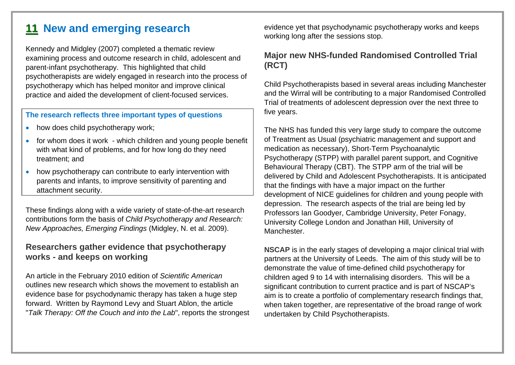# **1 1 New and emerging research**

Kennedy and Midgley (2007) completed a thematic review examining process and outcome research in child, adolescent and parent-infant psychotherapy. This highlighted that child psychotherapists are widely engaged in research into the process of psychotherapy which has helped monitor and improve clinical practice and aided the development of client-focused services.

#### **The research reflects three important types of questions**

- 0 how does child psychotherapy work;
- for whom does it work which children and young people benefit with what kind of problems, and for how long do they need treatment; and
- 0 how psychotherapy can contribute to early intervention with parents and infants, to improve sensitivity of parenting and attachment security.

These findings along with a wide variety of state-of-the-art research contributions form the basis of *Child Psychotherapy and Research: New Approaches, Emerging Findings* (Midgley, N. et al. 2009).

#### **Researchers gather evidence that psychotherapy works - and keeps on working**

An article in the February 2010 edition of *Scientific American* outlines new research which shows the movement to establish an evidence base for psychodynamic therapy has taken a huge step forward. Written by Raymond Levy and Stuart Ablon, the article "*Talk Therapy: Off the Couch and into the Lab*", reports the strongest evidence yet that psychodynamic psychotherapy works and keeps working long after the sessions stop.

### **Major new NHS-funded Randomised Controlled Trial (RCT)**

Child Psychotherapists based in several areas including Manchester and the Wirral will be contributing to a major Randomised Controlled Trial of treatments of adolescent depression over the next three to five years.

The NHS has funded this very large study to compare the outcome of Treatment as Usual (psychiatric management and support and medication as necessary), Short-Term Psychoanalytic Psychotherapy (STPP) with parallel parent support, and Cognitive Behavioural Therapy (CBT). The STPP arm of the trial will be delivered by Child and Adolescent Psychotherapists. It is anticipated that the findings with have a major impact on the further development of NICE guidelines for children and young people with depression. The research aspects of the trial are being led by Professors Ian Goodyer, Cambridge University, Peter Fonagy, University College London and Jonathan Hill, University of Manchester.

**NSCAP** is in the early stages of developing a major clinical trial with partners at the University of Leeds. The aim of this study will be to demonstrate the value of time-defined child psychotherapy for children aged 9 to 14 with internalising disorders. This will be a significant contribution to current practice and is part of NSCAP's aim is to create a portfolio of complementary research findings that, when taken together, are representative of the broad range of work undertaken by Child Psychotherapists.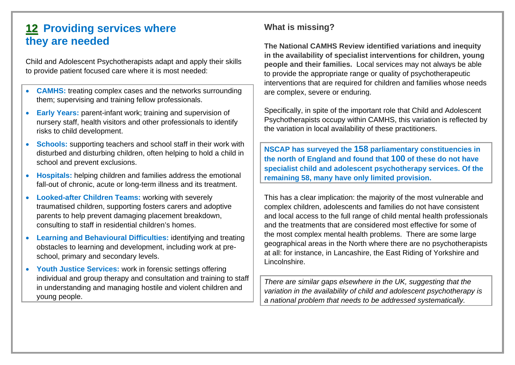# **1 2 Providing services where they are needed**

Child and Adolescent Psychotherapists adapt and apply their skills to provide patient focused care where it is most needed:

- $\bullet$  **CAMHS:** treating complex cases and the networks surrounding them; supervising and training fellow professionals.
- $\bullet$  **Early Years:** parent-infant work; training and supervision of nursery staff, health visitors and other professionals to identify risks to child development.
- $\bullet$  **Schools:** supporting teachers and school staff in their work with disturbed and disturbing children, often helping to hold a child in school and prevent exclusions.
- $\bullet$  **Hospitals:** helping children and families address the emotional fall-out of chronic, acute or long-term illness and its treatment.
- $\bullet$  **Looked-after Children Teams:** working with severely traumatised children, supporting fosters carers and adoptive parents to help prevent damaging placement breakdown, consulting to staff in residential children's homes.
- 0 **Learning and Behavioural Difficulties:** identifying and treating obstacles to learning and development, including work at preschool, primary and secondary levels.
- $\bullet$  **Youth Justice Services:** work in forensic settings offering individual and group therapy and consultation and training to staff in understanding and managing hostile and violent children and young people.

## **What is missing?**

**The National CAMHS Review identified variations and inequity in the availability of specialist interventions for children, young people and their families.** Local services may not always be able to provide the appropriate range or quality of psychotherapeutic interventions that are required for children and families whose needs are complex, severe or enduring.

Specifically, in spite of the important role that Child and Adolescent Psychotherapists occupy within CAMHS, this variation is reflected by the variation in local availability of these practitioners.

**NSCAP has surveyed the 158 parliamentary constituencies in the north of England and found that 100 of these do not have specialist child and adolescent psychotherapy services. Of the remaining 58, many have only limited provision.**

This has a clear implication: the majority of the most vulnerable and complex children, adolescents and families do not have consistent and local access to the full range of child mental health professionals and the treatments that are considered most effective for some of the most complex mental health problems. There are some large geographical areas in the North where there are no psychotherapists at all: for instance, in Lancashire, the East Riding of Yorkshire and Lincolnshire.

*There are similar gaps elsewhere in the UK, suggesting that the variation in the availability of child and adolescent psychotherapy is a national problem that needs to be addressed systematically.*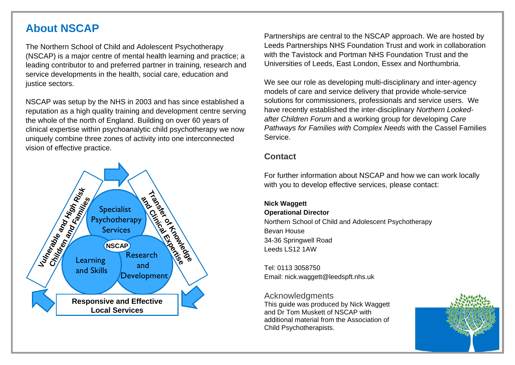## **About NSCAP**

The Northern School of Child and Adolescent Psychotherapy (NSCAP) is a major centre of mental health learning and practice; a leading contributor to and preferred partner in training, research and service developments in the health, social care, education and justice sectors.

NSCAP was setup by the NHS in 2003 and has since established a reputation as a high quality training and development centre serving the whole of the north of England. Building on over 60 years of clinical expertise within psychoanalytic child psychotherapy we now uniquely combine three zones of activity into one interconnected vision of effective practice.



Partnerships are central to the NSCAP approach. We are hosted by Leeds Partnerships NHS Foundation Trust and work in collaboration with the Tavistock and Portman NHS Foundation Trust and the Universities of Leeds, East London, Essex and Northumbria.

We see our role as developing multi-disciplinary and inter-agency models of care and service delivery that provide whole-service solutions for commissioners, professionals and service users. We have recently established the inter-disciplinary *Northern Lookedafter Children Forum* and a working group for developing *Care Pathways for Families with Complex Needs* with the Cassel Families Service.

#### **Contact**

For further information about NSCAP and how we can work locally with you to develop effective services, please contact:

#### **Nick Waggett**

#### **Operational Director**

Northern School of Child and Adolescent Psychotherapy Bevan House 34-36 Springwell Road Leeds LS12 1AW

Tel: 0113 3058750 Email: nick.waggett@leedspft.nhs.uk

#### Acknowledgments

This guide was produced by Nick Waggett and Dr Tom Muskett of NSCAP with additional material from the Association of Child Psychotherapists.